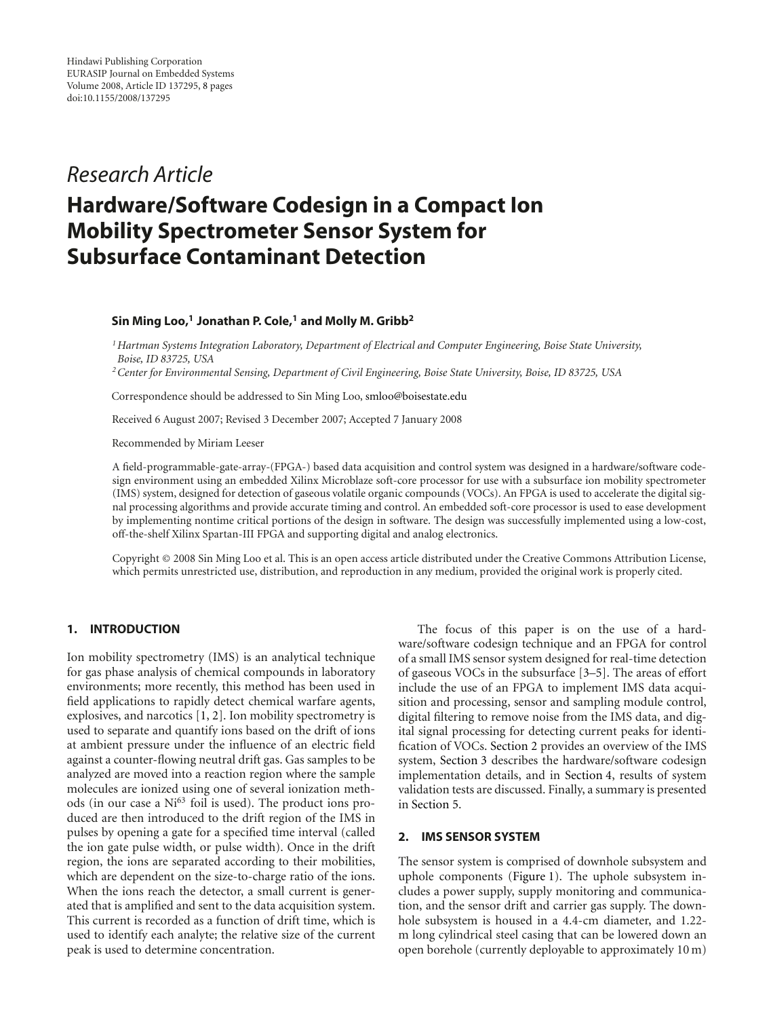# *Research Article*

# **Hardware/Software Codesign in a Compact Ion Mobility Spectrometer Sensor System for Subsurface Contaminant Detection**

# **Sin Ming Loo,1 Jonathan P. Cole,1 and Molly M. Gribb2**

*1Hartman Systems Integration Laboratory, Department of Electrical and Computer Engineering, Boise State University, Boise, ID 83725, USA*

*2Center for Environmental Sensing, Department of Civil Engineering, Boise State University, Boise, ID 83725, USA*

Correspondence should be addressed to Sin Ming Loo, smloo@boisestate.edu

Received 6 August 2007; Revised 3 December 2007; Accepted 7 January 2008

Recommended by Miriam Leeser

A field-programmable-gate-array-(FPGA-) based data acquisition and control system was designed in a hardware/software codesign environment using an embedded Xilinx Microblaze soft-core processor for use with a subsurface ion mobility spectrometer (IMS) system, designed for detection of gaseous volatile organic compounds (VOCs). An FPGA is used to accelerate the digital signal processing algorithms and provide accurate timing and control. An embedded soft-core processor is used to ease development by implementing nontime critical portions of the design in software. The design was successfully implemented using a low-cost, off-the-shelf Xilinx Spartan-III FPGA and supporting digital and analog electronics.

Copyright © 2008 Sin Ming Loo et al. This is an open access article distributed under the Creative Commons Attribution License, which permits unrestricted use, distribution, and reproduction in any medium, provided the original work is properly cited.

# **1. INTRODUCTION**

Ion mobility spectrometry (IMS) is an analytical technique for gas phase analysis of chemical compounds in laboratory environments; more recently, this method has been used in field applications to rapidly detect chemical warfare agents, explosives, and narcotics [1, 2]. Ion mobility spectrometry is used to separate and quantify ions based on the drift of ions at ambient pressure under the influence of an electric field against a counter-flowing neutral drift gas. Gas samples to be analyzed are moved into a reaction region where the sample molecules are ionized using one of several ionization methods (in our case a  $Ni<sup>63</sup>$  foil is used). The product ions produced are then introduced to the drift region of the IMS in pulses by opening a gate for a specified time interval (called the ion gate pulse width, or pulse width). Once in the drift region, the ions are separated according to their mobilities, which are dependent on the size-to-charge ratio of the ions. When the ions reach the detector, a small current is generated that is amplified and sent to the data acquisition system. This current is recorded as a function of drift time, which is used to identify each analyte; the relative size of the current peak is used to determine concentration.

The focus of this paper is on the use of a hardware/software codesign technique and an FPGA for control of a small IMS sensor system designed for real-time detection of gaseous VOCs in the subsurface [3–5]. The areas of effort include the use of an FPGA to implement IMS data acquisition and processing, sensor and sampling module control, digital filtering to remove noise from the IMS data, and digital signal processing for detecting current peaks for identification of VOCs. Section 2 provides an overview of the IMS system, Section 3 describes the hardware/software codesign implementation details, and in Section 4, results of system validation tests are discussed. Finally, a summary is presented in Section 5.

# **2. IMS SENSOR SYSTEM**

The sensor system is comprised of downhole subsystem and uphole components (Figure 1). The uphole subsystem includes a power supply, supply monitoring and communication, and the sensor drift and carrier gas supply. The downhole subsystem is housed in a 4.4-cm diameter, and 1.22 m long cylindrical steel casing that can be lowered down an open borehole (currently deployable to approximately 10 m)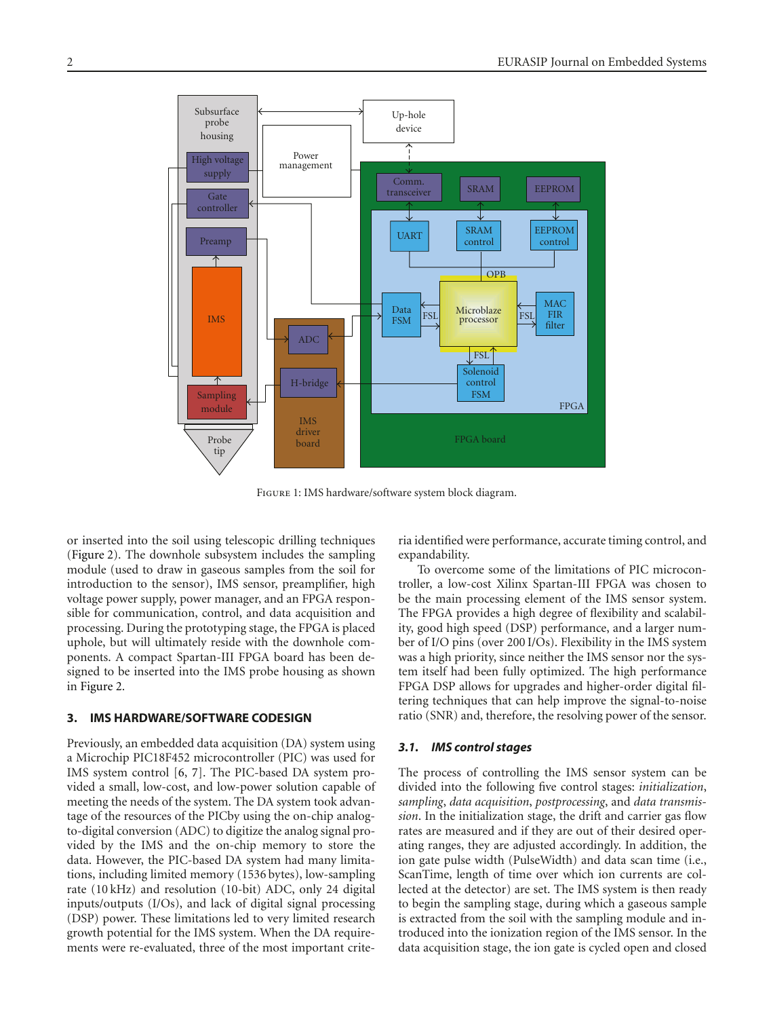

Figure 1: IMS hardware/software system block diagram.

or inserted into the soil using telescopic drilling techniques (Figure 2). The downhole subsystem includes the sampling module (used to draw in gaseous samples from the soil for introduction to the sensor), IMS sensor, preamplifier, high voltage power supply, power manager, and an FPGA responsible for communication, control, and data acquisition and processing. During the prototyping stage, the FPGA is placed uphole, but will ultimately reside with the downhole components. A compact Spartan-III FPGA board has been designed to be inserted into the IMS probe housing as shown in Figure 2.

## **3. IMS HARDWARE/SOFTWARE CODESIGN**

Previously, an embedded data acquisition (DA) system using a Microchip PIC18F452 microcontroller (PIC) was used for IMS system control [6, 7]. The PIC-based DA system provided a small, low-cost, and low-power solution capable of meeting the needs of the system. The DA system took advantage of the resources of the PICby using the on-chip analogto-digital conversion (ADC) to digitize the analog signal provided by the IMS and the on-chip memory to store the data. However, the PIC-based DA system had many limitations, including limited memory (1536 bytes), low-sampling rate (10 kHz) and resolution (10-bit) ADC, only 24 digital inputs/outputs (I/Os), and lack of digital signal processing (DSP) power. These limitations led to very limited research growth potential for the IMS system. When the DA requirements were re-evaluated, three of the most important criteria identified were performance, accurate timing control, and expandability.

To overcome some of the limitations of PIC microcontroller, a low-cost Xilinx Spartan-III FPGA was chosen to be the main processing element of the IMS sensor system. The FPGA provides a high degree of flexibility and scalability, good high speed (DSP) performance, and a larger number of I/O pins (over 200 I/Os). Flexibility in the IMS system was a high priority, since neither the IMS sensor nor the system itself had been fully optimized. The high performance FPGA DSP allows for upgrades and higher-order digital filtering techniques that can help improve the signal-to-noise ratio (SNR) and, therefore, the resolving power of the sensor.

## *3.1. IMS control stages*

The process of controlling the IMS sensor system can be divided into the following five control stages: *initialization*, *sampling*, *data acquisition*, *postprocessing*, and *data transmission*. In the initialization stage, the drift and carrier gas flow rates are measured and if they are out of their desired operating ranges, they are adjusted accordingly. In addition, the ion gate pulse width (PulseWidth) and data scan time (i.e., ScanTime, length of time over which ion currents are collected at the detector) are set. The IMS system is then ready to begin the sampling stage, during which a gaseous sample is extracted from the soil with the sampling module and introduced into the ionization region of the IMS sensor. In the data acquisition stage, the ion gate is cycled open and closed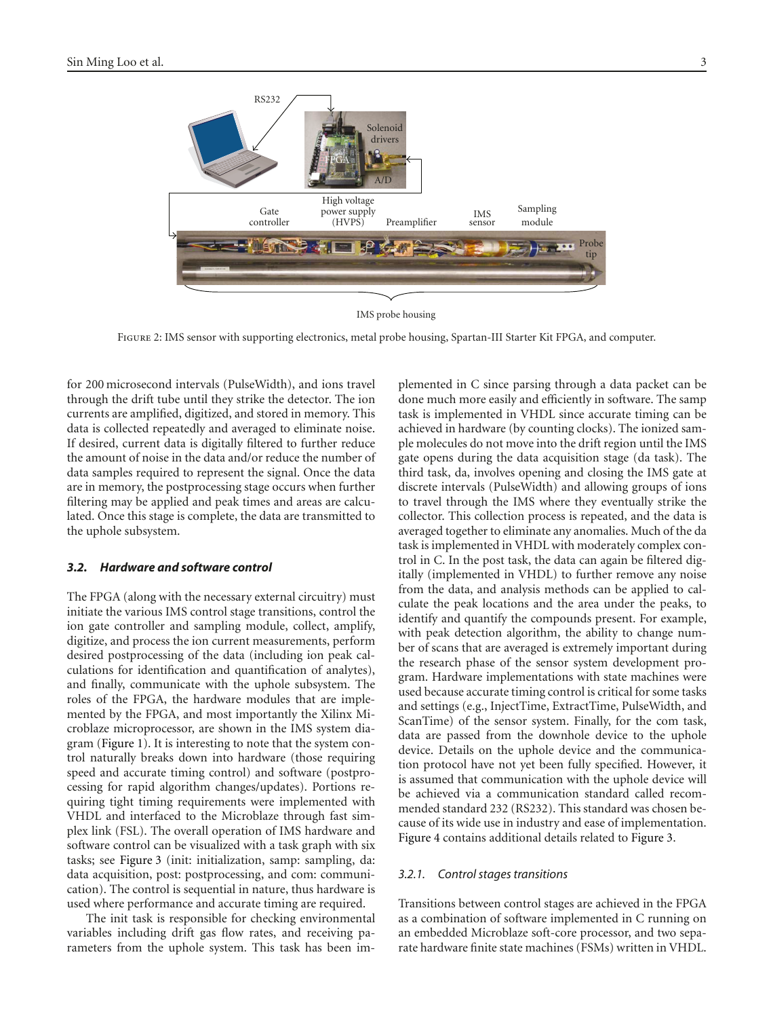

IMS probe housing

Figure 2: IMS sensor with supporting electronics, metal probe housing, Spartan-III Starter Kit FPGA, and computer.

for 200 microsecond intervals (PulseWidth), and ions travel through the drift tube until they strike the detector. The ion currents are amplified, digitized, and stored in memory. This data is collected repeatedly and averaged to eliminate noise. If desired, current data is digitally filtered to further reduce the amount of noise in the data and/or reduce the number of data samples required to represent the signal. Once the data are in memory, the postprocessing stage occurs when further filtering may be applied and peak times and areas are calculated. Once this stage is complete, the data are transmitted to the uphole subsystem.

#### *3.2. Hardware and software control*

The FPGA (along with the necessary external circuitry) must initiate the various IMS control stage transitions, control the ion gate controller and sampling module, collect, amplify, digitize, and process the ion current measurements, perform desired postprocessing of the data (including ion peak calculations for identification and quantification of analytes), and finally, communicate with the uphole subsystem. The roles of the FPGA, the hardware modules that are implemented by the FPGA, and most importantly the Xilinx Microblaze microprocessor, are shown in the IMS system diagram (Figure 1). It is interesting to note that the system control naturally breaks down into hardware (those requiring speed and accurate timing control) and software (postprocessing for rapid algorithm changes/updates). Portions requiring tight timing requirements were implemented with VHDL and interfaced to the Microblaze through fast simplex link (FSL). The overall operation of IMS hardware and software control can be visualized with a task graph with six tasks; see Figure 3 (init: initialization, samp: sampling, da: data acquisition, post: postprocessing, and com: communication). The control is sequential in nature, thus hardware is used where performance and accurate timing are required.

The init task is responsible for checking environmental variables including drift gas flow rates, and receiving parameters from the uphole system. This task has been implemented in C since parsing through a data packet can be done much more easily and efficiently in software. The samp task is implemented in VHDL since accurate timing can be achieved in hardware (by counting clocks). The ionized sample molecules do not move into the drift region until the IMS gate opens during the data acquisition stage (da task). The third task, da, involves opening and closing the IMS gate at discrete intervals (PulseWidth) and allowing groups of ions to travel through the IMS where they eventually strike the collector. This collection process is repeated, and the data is averaged together to eliminate any anomalies. Much of the da task is implemented in VHDL with moderately complex control in C. In the post task, the data can again be filtered digitally (implemented in VHDL) to further remove any noise from the data, and analysis methods can be applied to calculate the peak locations and the area under the peaks, to identify and quantify the compounds present. For example, with peak detection algorithm, the ability to change number of scans that are averaged is extremely important during the research phase of the sensor system development program. Hardware implementations with state machines were used because accurate timing control is critical for some tasks and settings (e.g., InjectTime, ExtractTime, PulseWidth, and ScanTime) of the sensor system. Finally, for the com task, data are passed from the downhole device to the uphole device. Details on the uphole device and the communication protocol have not yet been fully specified. However, it is assumed that communication with the uphole device will be achieved via a communication standard called recommended standard 232 (RS232). This standard was chosen because of its wide use in industry and ease of implementation. Figure 4 contains additional details related to Figure 3.

#### *3.2.1. Control stages transitions*

Transitions between control stages are achieved in the FPGA as a combination of software implemented in C running on an embedded Microblaze soft-core processor, and two separate hardware finite state machines (FSMs) written in VHDL.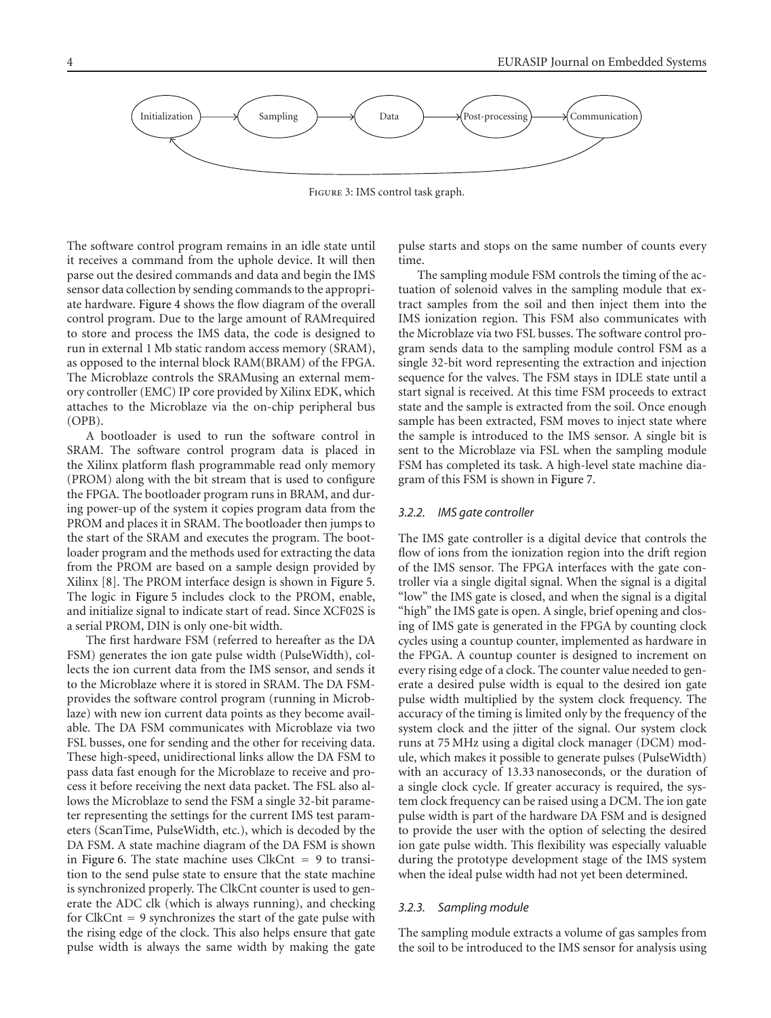

Figure 3: IMS control task graph.

The software control program remains in an idle state until it receives a command from the uphole device. It will then parse out the desired commands and data and begin the IMS sensor data collection by sending commands to the appropriate hardware. Figure 4 shows the flow diagram of the overall control program. Due to the large amount of RAMrequired to store and process the IMS data, the code is designed to run in external 1 Mb static random access memory (SRAM), as opposed to the internal block RAM(BRAM) of the FPGA. The Microblaze controls the SRAMusing an external memory controller (EMC) IP core provided by Xilinx EDK, which attaches to the Microblaze via the on-chip peripheral bus (OPB).

A bootloader is used to run the software control in SRAM. The software control program data is placed in the Xilinx platform flash programmable read only memory (PROM) along with the bit stream that is used to configure the FPGA. The bootloader program runs in BRAM, and during power-up of the system it copies program data from the PROM and places it in SRAM. The bootloader then jumps to the start of the SRAM and executes the program. The bootloader program and the methods used for extracting the data from the PROM are based on a sample design provided by Xilinx [8]. The PROM interface design is shown in Figure 5. The logic in Figure 5 includes clock to the PROM, enable, and initialize signal to indicate start of read. Since XCF02S is a serial PROM, DIN is only one-bit width.

The first hardware FSM (referred to hereafter as the DA FSM) generates the ion gate pulse width (PulseWidth), collects the ion current data from the IMS sensor, and sends it to the Microblaze where it is stored in SRAM. The DA FSMprovides the software control program (running in Microblaze) with new ion current data points as they become available. The DA FSM communicates with Microblaze via two FSL busses, one for sending and the other for receiving data. These high-speed, unidirectional links allow the DA FSM to pass data fast enough for the Microblaze to receive and process it before receiving the next data packet. The FSL also allows the Microblaze to send the FSM a single 32-bit parameter representing the settings for the current IMS test parameters (ScanTime, PulseWidth, etc.), which is decoded by the DA FSM. A state machine diagram of the DA FSM is shown in Figure 6. The state machine uses  $ClkCnt = 9$  to transition to the send pulse state to ensure that the state machine is synchronized properly. The ClkCnt counter is used to generate the ADC clk (which is always running), and checking for ClkCnt = 9 synchronizes the start of the gate pulse with the rising edge of the clock. This also helps ensure that gate pulse width is always the same width by making the gate

pulse starts and stops on the same number of counts every time.

The sampling module FSM controls the timing of the actuation of solenoid valves in the sampling module that extract samples from the soil and then inject them into the IMS ionization region. This FSM also communicates with the Microblaze via two FSL busses. The software control program sends data to the sampling module control FSM as a single 32-bit word representing the extraction and injection sequence for the valves. The FSM stays in IDLE state until a start signal is received. At this time FSM proceeds to extract state and the sample is extracted from the soil. Once enough sample has been extracted, FSM moves to inject state where the sample is introduced to the IMS sensor. A single bit is sent to the Microblaze via FSL when the sampling module FSM has completed its task. A high-level state machine diagram of this FSM is shown in Figure 7.

## *3.2.2. IMS gate controller*

The IMS gate controller is a digital device that controls the flow of ions from the ionization region into the drift region of the IMS sensor. The FPGA interfaces with the gate controller via a single digital signal. When the signal is a digital "low" the IMS gate is closed, and when the signal is a digital "high" the IMS gate is open. A single, brief opening and closing of IMS gate is generated in the FPGA by counting clock cycles using a countup counter, implemented as hardware in the FPGA. A countup counter is designed to increment on every rising edge of a clock. The counter value needed to generate a desired pulse width is equal to the desired ion gate pulse width multiplied by the system clock frequency. The accuracy of the timing is limited only by the frequency of the system clock and the jitter of the signal. Our system clock runs at 75 MHz using a digital clock manager (DCM) module, which makes it possible to generate pulses (PulseWidth) with an accuracy of 13.33 nanoseconds, or the duration of a single clock cycle. If greater accuracy is required, the system clock frequency can be raised using a DCM. The ion gate pulse width is part of the hardware DA FSM and is designed to provide the user with the option of selecting the desired ion gate pulse width. This flexibility was especially valuable during the prototype development stage of the IMS system when the ideal pulse width had not yet been determined.

#### *3.2.3. Sampling module*

The sampling module extracts a volume of gas samples from the soil to be introduced to the IMS sensor for analysis using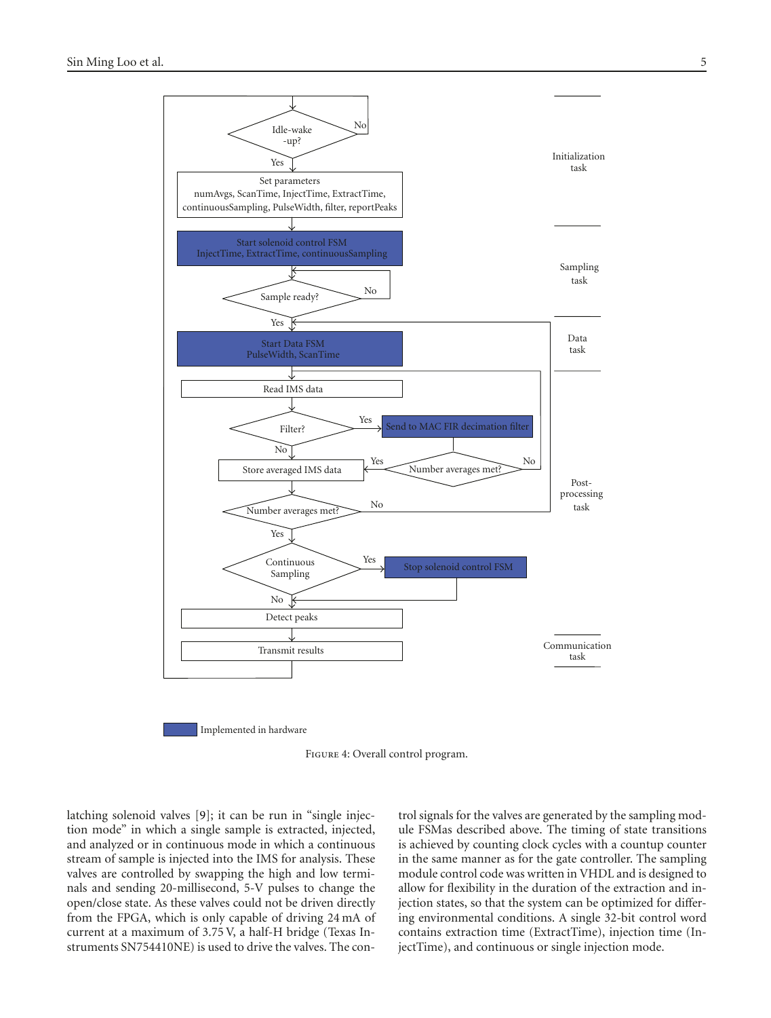

Implemented in hardware



latching solenoid valves [9]; it can be run in "single injection mode" in which a single sample is extracted, injected, and analyzed or in continuous mode in which a continuous stream of sample is injected into the IMS for analysis. These valves are controlled by swapping the high and low terminals and sending 20-millisecond, 5-V pulses to change the open/close state. As these valves could not be driven directly from the FPGA, which is only capable of driving 24 mA of current at a maximum of 3.75 V, a half-H bridge (Texas Instruments SN754410NE) is used to drive the valves. The control signals for the valves are generated by the sampling module FSMas described above. The timing of state transitions is achieved by counting clock cycles with a countup counter in the same manner as for the gate controller. The sampling module control code was written in VHDL and is designed to allow for flexibility in the duration of the extraction and injection states, so that the system can be optimized for differing environmental conditions. A single 32-bit control word contains extraction time (ExtractTime), injection time (InjectTime), and continuous or single injection mode.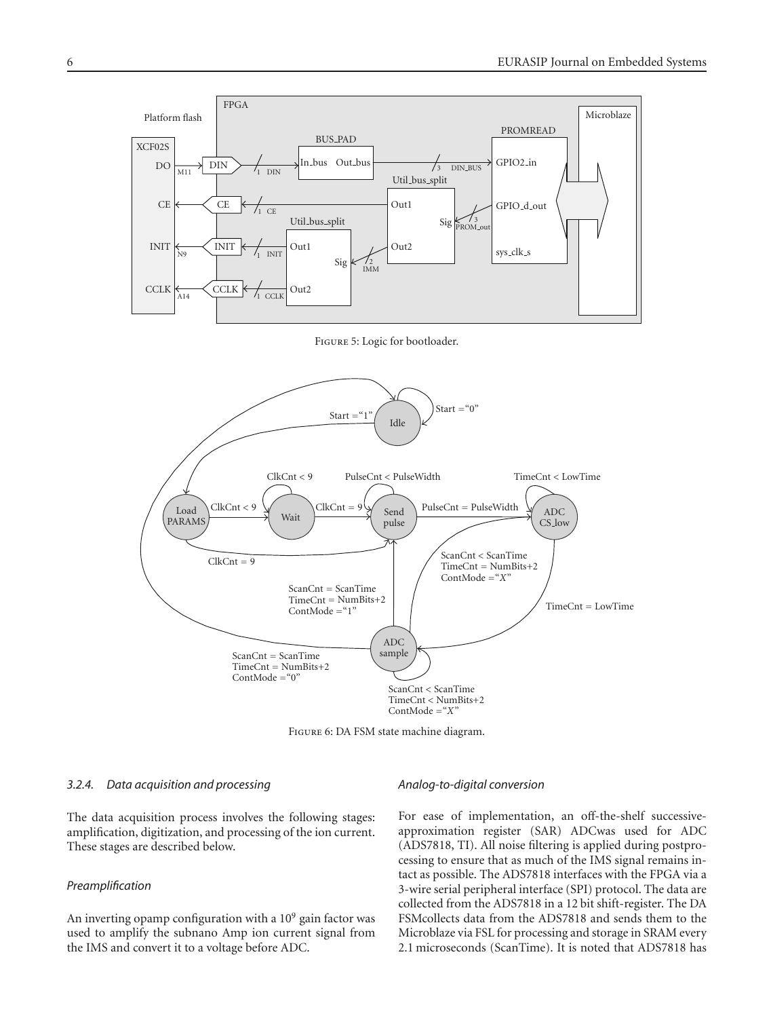

Figure 5: Logic for bootloader.



Figure 6: DA FSM state machine diagram.

## *3.2.4. Data acquisition and processing*

The data acquisition process involves the following stages: amplification, digitization, and processing of the ion current. These stages are described below.

#### *Preamplification*

An inverting opamp configuration with a  $10<sup>9</sup>$  gain factor was used to amplify the subnano Amp ion current signal from the IMS and convert it to a voltage before ADC.

## *Analog-to-digital conversion*

For ease of implementation, an off-the-shelf successiveapproximation register (SAR) ADCwas used for ADC (ADS7818, TI). All noise filtering is applied during postprocessing to ensure that as much of the IMS signal remains intact as possible. The ADS7818 interfaces with the FPGA via a 3-wire serial peripheral interface (SPI) protocol. The data are collected from the ADS7818 in a 12 bit shift-register. The DA FSMcollects data from the ADS7818 and sends them to the Microblaze via FSL for processing and storage in SRAM every 2.1 microseconds (ScanTime). It is noted that ADS7818 has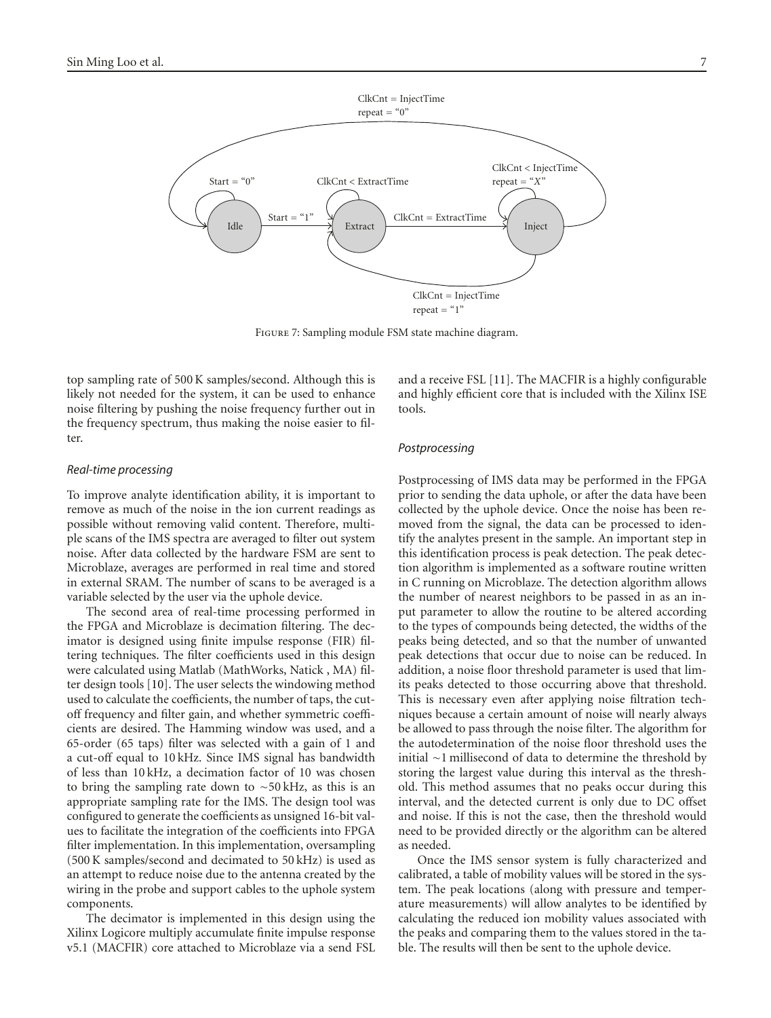

Figure 7: Sampling module FSM state machine diagram.

top sampling rate of 500 K samples/second. Although this is likely not needed for the system, it can be used to enhance noise filtering by pushing the noise frequency further out in the frequency spectrum, thus making the noise easier to filter.

## *Real-time processing*

To improve analyte identification ability, it is important to remove as much of the noise in the ion current readings as possible without removing valid content. Therefore, multiple scans of the IMS spectra are averaged to filter out system noise. After data collected by the hardware FSM are sent to Microblaze, averages are performed in real time and stored in external SRAM. The number of scans to be averaged is a variable selected by the user via the uphole device.

The second area of real-time processing performed in the FPGA and Microblaze is decimation filtering. The decimator is designed using finite impulse response (FIR) filtering techniques. The filter coefficients used in this design were calculated using Matlab (MathWorks, Natick , MA) filter design tools [10]. The user selects the windowing method used to calculate the coefficients, the number of taps, the cutoff frequency and filter gain, and whether symmetric coefficients are desired. The Hamming window was used, and a 65-order (65 taps) filter was selected with a gain of 1 and a cut-off equal to 10 kHz. Since IMS signal has bandwidth of less than 10 kHz, a decimation factor of 10 was chosen to bring the sampling rate down to ∼50 kHz, as this is an appropriate sampling rate for the IMS. The design tool was configured to generate the coefficients as unsigned 16-bit values to facilitate the integration of the coefficients into FPGA filter implementation. In this implementation, oversampling (500 K samples/second and decimated to 50 kHz) is used as an attempt to reduce noise due to the antenna created by the wiring in the probe and support cables to the uphole system components.

The decimator is implemented in this design using the Xilinx Logicore multiply accumulate finite impulse response v5.1 (MACFIR) core attached to Microblaze via a send FSL

and a receive FSL [11]. The MACFIR is a highly configurable and highly efficient core that is included with the Xilinx ISE tools.

#### *Postprocessing*

Postprocessing of IMS data may be performed in the FPGA prior to sending the data uphole, or after the data have been collected by the uphole device. Once the noise has been removed from the signal, the data can be processed to identify the analytes present in the sample. An important step in this identification process is peak detection. The peak detection algorithm is implemented as a software routine written in C running on Microblaze. The detection algorithm allows the number of nearest neighbors to be passed in as an input parameter to allow the routine to be altered according to the types of compounds being detected, the widths of the peaks being detected, and so that the number of unwanted peak detections that occur due to noise can be reduced. In addition, a noise floor threshold parameter is used that limits peaks detected to those occurring above that threshold. This is necessary even after applying noise filtration techniques because a certain amount of noise will nearly always be allowed to pass through the noise filter. The algorithm for the autodetermination of the noise floor threshold uses the initial ∼1 millisecond of data to determine the threshold by storing the largest value during this interval as the threshold. This method assumes that no peaks occur during this interval, and the detected current is only due to DC offset and noise. If this is not the case, then the threshold would need to be provided directly or the algorithm can be altered as needed.

Once the IMS sensor system is fully characterized and calibrated, a table of mobility values will be stored in the system. The peak locations (along with pressure and temperature measurements) will allow analytes to be identified by calculating the reduced ion mobility values associated with the peaks and comparing them to the values stored in the table. The results will then be sent to the uphole device.